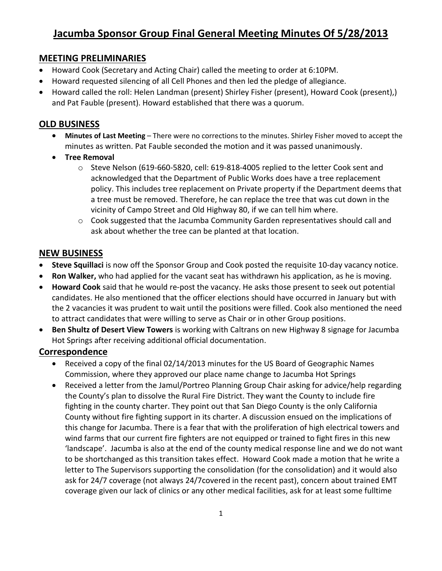# **Jacumba Sponsor Group Final General Meeting Minutes Of 5/28/2013**

### **MEETING PRELIMINARIES**

- Howard Cook (Secretary and Acting Chair) called the meeting to order at 6:10PM.
- Howard requested silencing of all Cell Phones and then led the pledge of allegiance.
- Howard called the roll: Helen Landman (present) Shirley Fisher (present), Howard Cook (present),) and Pat Fauble (present). Howard established that there was a quorum.

### **OLD BUSINESS**

- **Minutes of Last Meeting** There were no corrections to the minutes. Shirley Fisher moved to accept the minutes as written. Pat Fauble seconded the motion and it was passed unanimously.
- **Tree Removal**
	- $\circ$  Steve Nelson (619-660-5820, cell: 619-818-4005 replied to the letter Cook sent and acknowledged that the Department of Public Works does have a tree replacement policy. This includes tree replacement on Private property if the Department deems that a tree must be removed. Therefore, he can replace the tree that was cut down in the vicinity of Campo Street and Old Highway 80, if we can tell him where.
	- $\circ$  Cook suggested that the Jacumba Community Garden representatives should call and ask about whether the tree can be planted at that location.

### **NEW BUSINESS**

- **Steve Squillaci** is now off the Sponsor Group and Cook posted the requisite 10-day vacancy notice.
- **Ron Walker,** who had applied for the vacant seat has withdrawn his application, as he is moving.
- **Howard Cook** said that he would re-post the vacancy. He asks those present to seek out potential candidates. He also mentioned that the officer elections should have occurred in January but with the 2 vacancies it was prudent to wait until the positions were filled. Cook also mentioned the need to attract candidates that were willing to serve as Chair or in other Group positions.
- **Ben Shultz of Desert View Towers** is working with Caltrans on new Highway 8 signage for Jacumba Hot Springs after receiving additional official documentation.

### **Correspondence**

- Received a copy of the final 02/14/2013 minutes for the US Board of Geographic Names Commission, where they approved our place name change to Jacumba Hot Springs
- Received a letter from the Jamul/Portreo Planning Group Chair asking for advice/help regarding the County's plan to dissolve the Rural Fire District. They want the County to include fire fighting in the county charter. They point out that San Diego County is the only California County without fire fighting support in its charter. A discussion ensued on the implications of this change for Jacumba. There is a fear that with the proliferation of high electrical towers and wind farms that our current fire fighters are not equipped or trained to fight fires in this new 'landscape'. Jacumba is also at the end of the county medical response line and we do not want to be shortchanged as this transition takes effect. Howard Cook made a motion that he write a letter to The Supervisors supporting the consolidation (for the consolidation) and it would also ask for 24/7 coverage (not always 24/7covered in the recent past), concern about trained EMT coverage given our lack of clinics or any other medical facilities, ask for at least some fulltime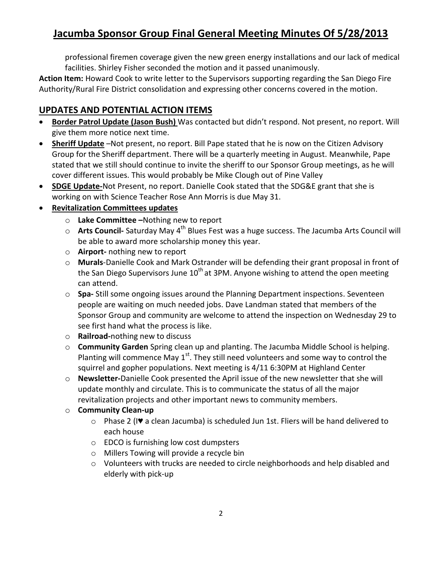# **Jacumba Sponsor Group Final General Meeting Minutes Of 5/28/2013**

professional firemen coverage given the new green energy installations and our lack of medical facilities. Shirley Fisher seconded the motion and it passed unanimously.

**Action Item:** Howard Cook to write letter to the Supervisors supporting regarding the San Diego Fire Authority/Rural Fire District consolidation and expressing other concerns covered in the motion.

## **UPDATES AND POTENTIAL ACTION ITEMS**

- **Border Patrol Update (Jason Bush)** Was contacted but didn't respond. Not present, no report. Will give them more notice next time.
- **Sheriff Update** –Not present, no report. Bill Pape stated that he is now on the Citizen Advisory Group for the Sheriff department. There will be a quarterly meeting in August. Meanwhile, Pape stated that we still should continue to invite the sheriff to our Sponsor Group meetings, as he will cover different issues. This would probably be Mike Clough out of Pine Valley
- **SDGE Update-**Not Present, no report. Danielle Cook stated that the SDG&E grant that she is working on with Science Teacher Rose Ann Morris is due May 31.

### **Revitalization Committees updates**

- o **Lake Committee –**Nothing new to report
- **Arts Council-** Saturday May 4<sup>th</sup> Blues Fest was a huge success. The Jacumba Arts Council will be able to award more scholarship money this year.
- o **Airport-** nothing new to report
- o **Murals**-Danielle Cook and Mark Ostrander will be defending their grant proposal in front of the San Diego Supervisors June  $10^{th}$  at 3PM. Anyone wishing to attend the open meeting can attend.
- o **Spa-** Still some ongoing issues around the Planning Department inspections. Seventeen people are waiting on much needed jobs. Dave Landman stated that members of the Sponsor Group and community are welcome to attend the inspection on Wednesday 29 to see first hand what the process is like.
- o **Railroad-**nothing new to discuss
- o **Community Garden** Spring clean up and planting. The Jacumba Middle School is helping. Planting will commence May  $1<sup>st</sup>$ . They still need volunteers and some way to control the squirrel and gopher populations. Next meeting is 4/11 6:30PM at Highland Center
- o **Newsletter-**Danielle Cook presented the April issue of the new newsletter that she will update monthly and circulate. This is to communicate the status of all the major revitalization projects and other important news to community members.
- o **Community Clean-up**
	- o Phase 2 (I♥ a clean Jacumba) is scheduled Jun 1st. Fliers will be hand delivered to each house
	- o EDCO is furnishing low cost dumpsters
	- o Millers Towing will provide a recycle bin
	- o Volunteers with trucks are needed to circle neighborhoods and help disabled and elderly with pick-up